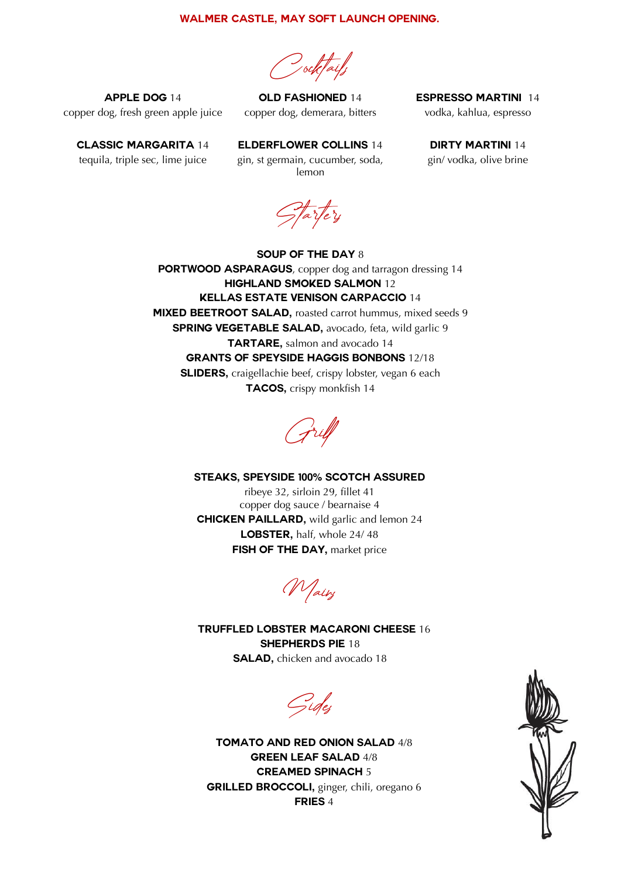## **Walmer Castle, may SOFT LAUNCH opening.**

Cocktails

**Apple dog** 14 copper dog, fresh green apple juice

**Old Fashioned** 14 copper dog, demerara, bitters **Espresso Martini** 14 vodka, kahlua, espresso

**Classic Margarita** 14 tequila, triple sec, lime juice

**Elderflower Collins** 14 gin, st germain, cucumber, soda, lemon

**Dirty Martini** 14 gin/ vodka, olive brine

tartery

**Soup of the day** 8 **PORTWOOD ASPARAGUS**, copper dog and tarragon dressing 14 **Highland Smoked Salmon** 12 **Kellas Estate Venison Carpaccio** 14 **MIXED BEETROOT SALAD**, roasted carrot hummus, mixed seeds 9 **SPRING VEGETABLE SALAD**, avocado, feta, wild garlic 9 **TARTARE**, salmon and avocado 14 **Grants of speyside haggis bonbons** 12/18 **SLIDERS**, craigellachie beef, crispy lobster, vegan 6 each **Tacos,** crispy monkfish 14

Gril

## **Steaks, speyside 100% scotch assured**

ribeye 32, sirloin 29, fillet 41 copper dog sauce / bearnaise 4 **Chicken paillard,** wild garlic and lemon 24 **LOBSTER**, half, whole 24/48 **FISH OF THE DAY, market price** 

Mains

**Truffled lobster Macaroni cheese** 16 **Shepherds pie** 18 **SALAD**, chicken and avocado 18

Sides

**Tomato and red onion salad** 4/8 **Green leaf salad** 4/8 **Creamed spinach** 5 **Grilled broccoli,** ginger, chili, oregano 6 **Fries** 4